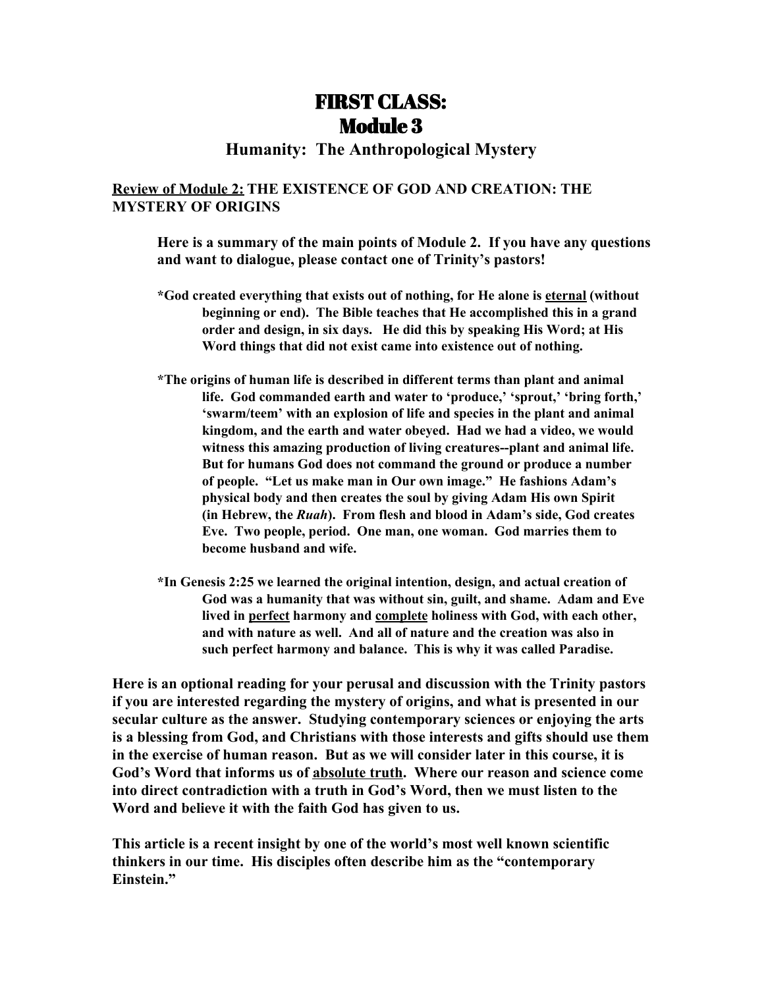# FIRST CLASS: Module 3

## **Humanity: The Anthropological Mystery**

## **Review of Module 2: THE EXISTENCE OF GOD AND CREATION: THE MYSTERY OF ORIGINS**

**Here is a summary of the main points of Module 2. If you have any questions and want to dialogue, please contact one of Trinity's pastors!**

- **\*God created everything that exists out of nothing, for He alone is eternal (without beginning or end). The Bible teaches that He accomplished this in a grand order and design, in six days. He did this by speaking His Word; at His Word things that did not exist came into existence out of nothing.**
- **\*The origins of human life is described in different terms than plant and animal life. God commanded earth and water to 'produce,' 'sprout,' 'bring forth,' 'swarm/teem' with an explosion of life and species in the plant and animal kingdom, and the earth and water obeyed. Had we had a video, we would witness this amazing production of living creatures--plant and animal life. But for humans God does not command the ground or produce a number of people. "Let us make man in Our own image." He fashions Adam's physical body and then creates the soul by giving Adam His own Spirit (in Hebrew, the** *Ruah***). From flesh and blood in Adam's side, God creates Eve. Two people, period. One man, one woman. God marries them to become husband and wife.**
- **\*In Genesis 2:25 we learned the original intention, design, and actual creation of God was a humanity that was without sin, guilt, and shame. Adam and Eve lived in perfect harmony and complete holiness with God, with each other, and with nature as well. And all of nature and the creation was also in such perfect harmony and balance. This is why it was called Paradise.**

**Here is an optional reading for your perusal and discussion with the Trinity pastors if you are interested regarding the mystery of origins, and what is presented in our secular culture as the answer. Studying contemporary sciences or enjoying the arts is a blessing from God, and Christians with those interests and gifts should use them in the exercise of human reason. But as we will consider later in this course, it is God's Word that informs us of absolute truth. Where our reason and science come into direct contradiction with a truth in God's Word, then we must listen to the Word and believe it with the faith God has given to us.**

**This article is a recent insight by one of the world's most well known scientific thinkers in our time. His disciples often describe him as the "contemporary Einstein."**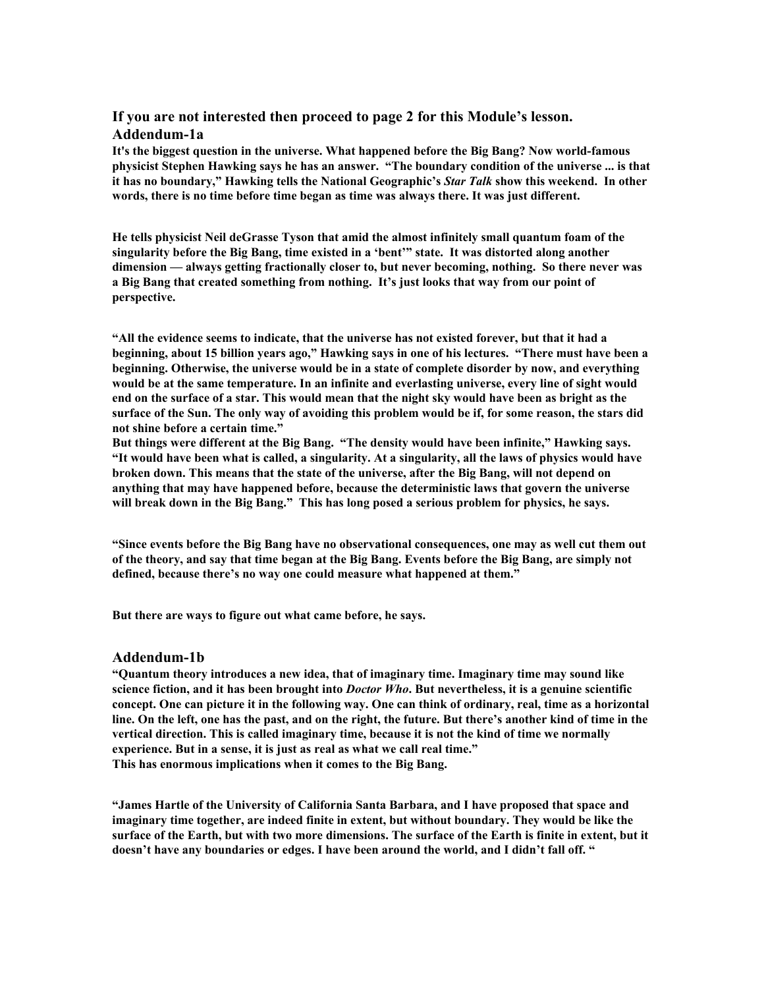#### **If you are not interested then proceed to page 2 for this Module's lesson. Addendum-1a**

**It's the biggest question in the universe. What happened before the Big Bang? Now world-famous physicist Stephen Hawking says he has an answer. "The boundary condition of the universe ... is that it has no boundary," Hawking tells the National Geographic's** *Star Talk* **show this weekend. In other words, there is no time before time began as time was always there. It was just different.**

**He tells physicist Neil deGrasse Tyson that amid the almost infinitely small quantum foam of the singularity before the Big Bang, time existed in a 'bent'" state. It was distorted along another dimension — always getting fractionally closer to, but never becoming, nothing. So there never was a Big Bang that created something from nothing. It's just looks that way from our point of perspective.**

**"All the evidence seems to indicate, that the universe has not existed forever, but that it had a** beginning, about 15 billion years ago," [Hawking](http://www.hawking.org.uk/the-beginning-of-time.html) says in one of his lectures. "There must have been a **beginning. Otherwise, the universe would be in a state of complete disorder by now, and everything would be at the same temperature. In an infinite and everlasting universe, every line of sight would** end on the surface of a star. This would mean that the night sky would have been as bright as the surface of the Sun. The only way of avoiding this problem would be if, for some reason, the stars did **not shine before a certain time."**

**But things were different at the Big Bang. "The density would have been infinite," Hawking says.** "It would have been what is called, a singularity. At a singularity, all the laws of physics would have **broken down. This means that the state of the universe, after the Big Bang, will not depend on anything that may have happened before, because the deterministic laws that govern the universe will break down in the Big Bang." This has long posed a serious problem for physics, he says.**

**"Since events before the Big Bang have no observational consequences, one may as well cut them out** of the theory, and say that time began at the Big Bang. Events before the Big Bang, are simply not **defined, because there's no way one could measure what happened at them."**

**But there are ways to figure out what came before, he says.**

#### **Addendum-1b**

**"Quantum theory introduces a new idea, that of imaginary time. Imaginary time may sound like** science fiction, and it has been brought into *Doctor Who*. But nevertheless, it is a genuine scientific concept. One can picture it in the following way. One can think of ordinary, real, time as a horizontal line. On the left, one has the past, and on the right, the future. But there's another kind of time in the **vertical direction. This is called imaginary time, because it is not the kind of time we normally experience. But in a sense, it is just as real as what we call real time." This has enormous implications when it comes to the Big Bang.**

**"James Hartle of the University of California Santa Barbara, and I have proposed that space and imaginary time together, are indeed finite in extent, but without boundary. They would be like the** surface of the Earth, but with two more dimensions. The surface of the Earth is finite in extent, but it **doesn't have any boundaries or edges. I have been around the world, and I didn't fall off. "**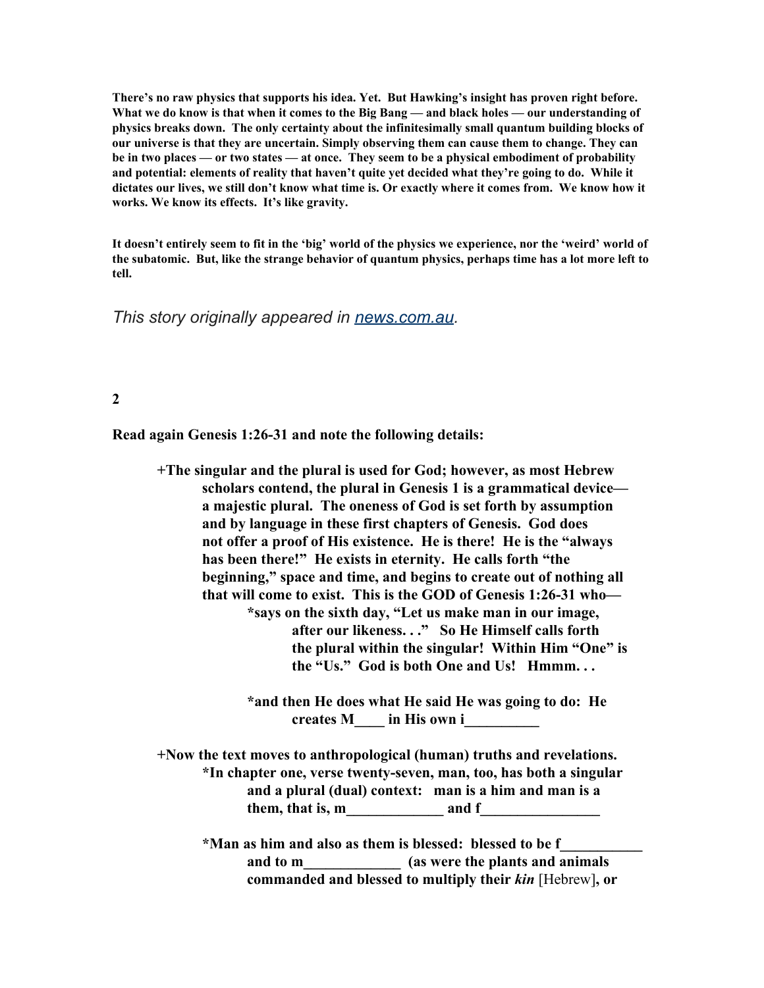**There's no raw physics that supports his idea. Yet. But Hawking's insight has proven right before.** What we do know is that when it comes to the Big Bang — and black holes — our understanding of **physics breaks down. The only certainty about the infinitesimally small quantum building blocks of our universe is that they are uncertain. Simply observing them can cause them to change. They can** be in two places — or two states — at once. They seem to be a physical embodiment of probability **and potential: elements of reality that haven't quite yet decided what they're going to do. While it** dictates our lives, we still don't know what time is. Or exactly where it comes from. We know how it **works. We know its effects. It's like gravity.**

It doesn't entirely seem to fit in the 'big' world of the physics we experience, nor the 'weird' world of the subatomic. But, like the strange behavior of quantum physics, perhaps time has a lot more left to **tell.**

*This story originally appeared in [news.com.au.](http://www.news.com.au/technology/science/space/stephen-hawking-argues-time-did-not-begin-with-the-big-bang-it-was-just-going-in-a-different-direction/news-story/0c36b41d82c13eab2e8b92b9b974010b)*

**2**

**Read again Genesis 1:26-31 and note the following details:**

**+The singular and the plural is used for God; however, as most Hebrew scholars contend, the plural in Genesis 1 is a grammatical device a majestic plural. The oneness of God is set forth by assumption and by language in these first chapters of Genesis. God does not offer a proof of His existence. He is there! He is the "always has been there!" He exists in eternity. He calls forth "the beginning," space and time, and begins to create out of nothing all that will come to exist. This is the GOD of Genesis 1:26-31 who— \*says on the sixth day, "Let us make man in our image, after our likeness. . ." So He Himself calls forth the plural within the singular! Within Him "One" is the "Us." God is both One and Us! Hmmm. . . \*and then He does what He said He was going to do: He creates M\_\_\_\_ in His own i\_\_\_\_\_\_\_\_\_\_ +Now the text moves to anthropological (human) truths and revelations. \*In chapter one, verse twenty-seven, man, too, has both a singular and a plural (dual) context: man is a him and man is a** them, that is, m and f **\*Man as him and also as them is blessed: blessed to be f\_\_\_\_\_\_\_\_\_\_\_ and to m\_\_\_\_\_\_\_\_\_\_\_\_\_ (as were the plants and animals commanded and blessed to multiply their** *kin* [Hebrew]**, or**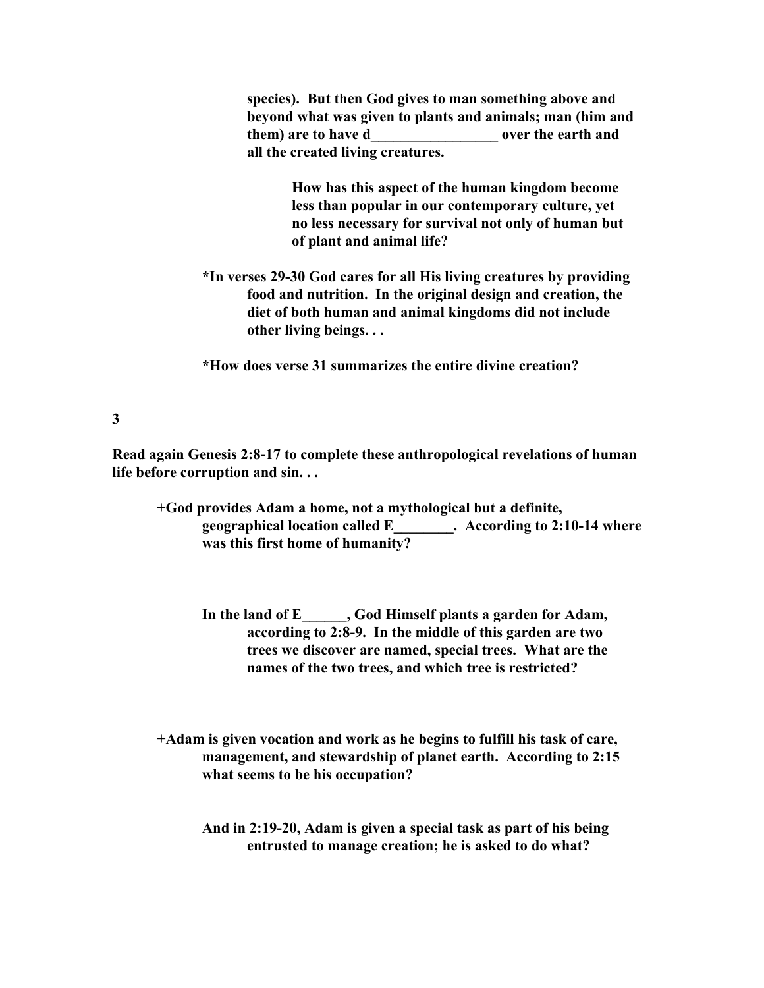**species). But then God gives to man something above and beyond what was given to plants and animals; man (him and them) are to have d\_\_\_\_\_\_\_\_\_\_\_\_\_\_\_\_\_ over the earth and all the created living creatures.**

> **How has this aspect of the human kingdom become less than popular in our contemporary culture, yet no less necessary for survival not only of human but of plant and animal life?**

**\*In verses 29-30 God cares for all His living creatures by providing food and nutrition. In the original design and creation, the diet of both human and animal kingdoms did not include other living beings. . .**

**\*How does verse 31 summarizes the entire divine creation?**

### **3**

**Read again Genesis 2:8-17 to complete these anthropological revelations of human life before corruption and sin. . .**

- **+God provides Adam a home, not a mythological but a definite, geographical location called E\_\_\_\_\_\_\_\_. According to 2:10-14 where was this first home of humanity?**
	- **In the land of E\_\_\_\_\_\_, God Himself plants a garden for Adam, according to 2:8-9. In the middle of this garden are two trees we discover are named, special trees. What are the names of the two trees, and which tree is restricted?**

**+Adam is given vocation and work as he begins to fulfill his task of care, management, and stewardship of planet earth. According to 2:15 what seems to be his occupation?**

**And in 2:19-20, Adam is given a special task as part of his being entrusted to manage creation; he is asked to do what?**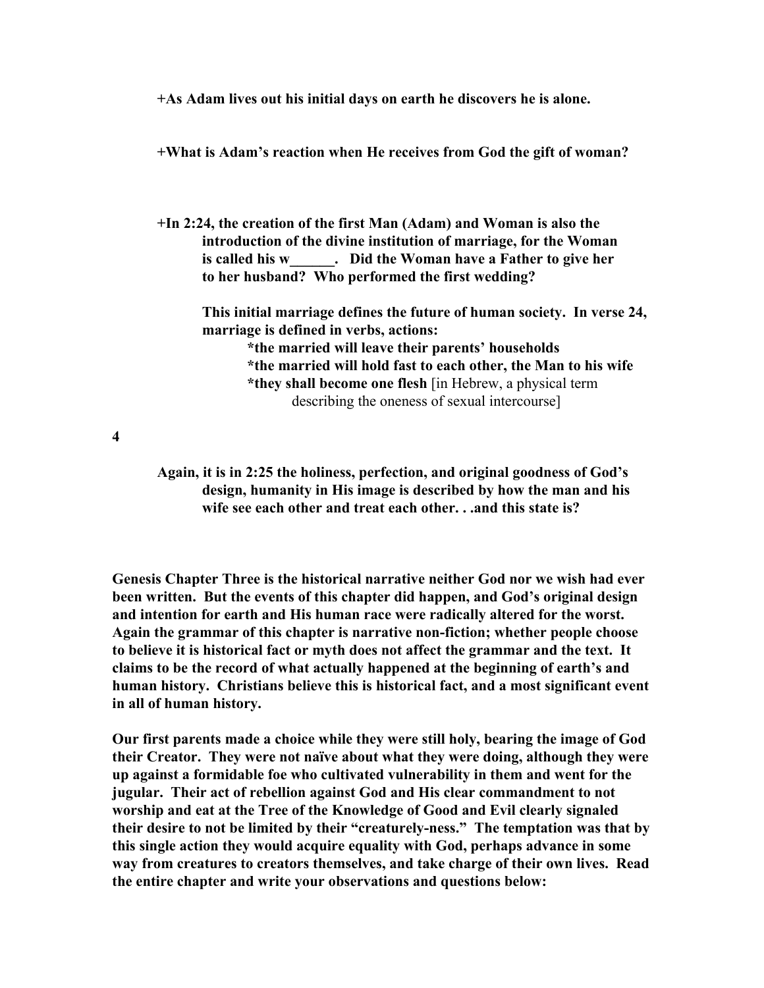**+As Adam lives out his initial days on earth he discovers he is alone.**

**+What is Adam's reaction when He receives from God the gift of woman?**

**+In 2:24, the creation of the first Man (Adam) and Woman is also the introduction of the divine institution of marriage, for the Woman is called his w\_\_\_\_\_\_. Did the Woman have a Father to give her to her husband? Who performed the first wedding?**

**This initial marriage defines the future of human society. In verse 24, marriage is defined in verbs, actions:**

> **\*the married will leave their parents' households \*the married will hold fast to each other, the Man to his wife \*they shall become one flesh** [in Hebrew, a physical term describing the oneness of sexual intercourse]

**4**

**Again, it is in 2:25 the holiness, perfection, and original goodness of God's design, humanity in His image is described by how the man and his wife see each other and treat each other. . .and this state is?**

**Genesis Chapter Three is the historical narrative neither God nor we wish had ever been written. But the events of this chapter did happen, and God's original design and intention for earth and His human race were radically altered for the worst. Again the grammar of this chapter is narrative non-fiction; whether people choose to believe it is historical fact or myth does not affect the grammar and the text. It claims to be the record of what actually happened at the beginning of earth's and human history. Christians believe this is historical fact, and a most significant event in all of human history.**

**Our first parents made a choice while they were still holy, bearing the image of God their Creator. They were not naïve about what they were doing, although they were up against a formidable foe who cultivated vulnerability in them and went for the jugular. Their act of rebellion against God and His clear commandment to not worship and eat at the Tree of the Knowledge of Good and Evil clearly signaled their desire to not be limited by their "creaturely-ness." The temptation was that by this single action they would acquire equality with God, perhaps advance in some way from creatures to creators themselves, and take charge of their own lives. Read the entire chapter and write your observations and questions below:**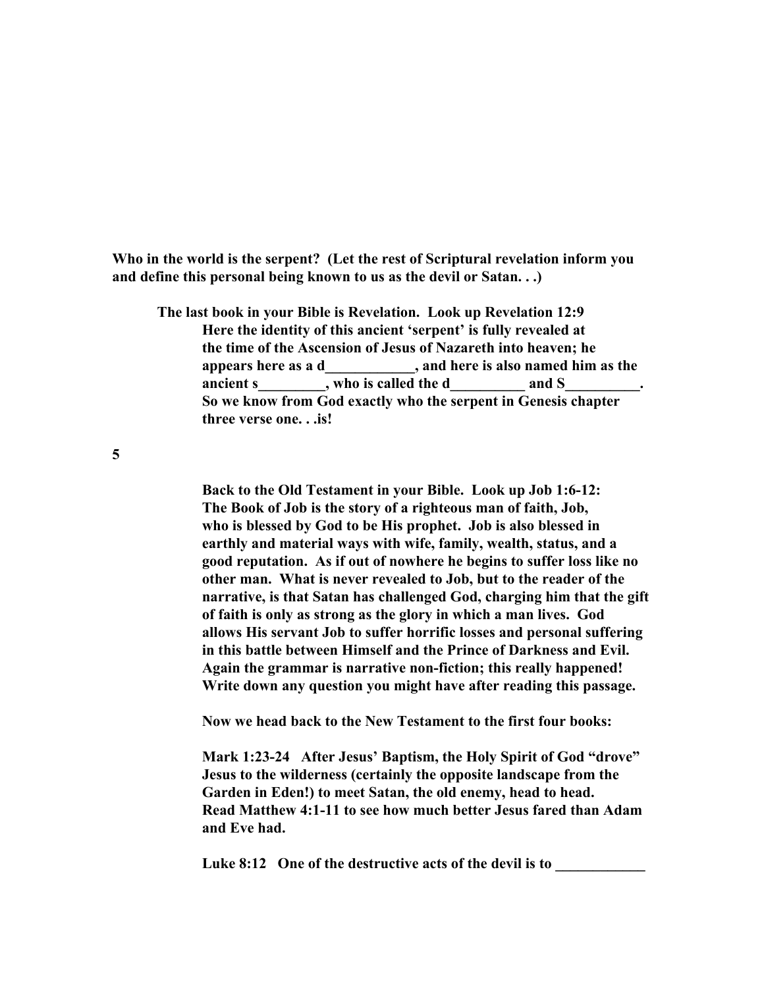**Who in the world is the serpent? (Let the rest of Scriptural revelation inform you and define this personal being known to us as the devil or Satan. . .)**

**The last book in your Bible is Revelation. Look up Revelation 12:9 Here the identity of this ancient 'serpent' is fully revealed at the time of the Ascension of Jesus of Nazareth into heaven; he appears here as a d\_\_\_\_\_\_\_\_\_\_\_\_, and here is also named him as the** ancient s  $\cdots$ , who is called the d  $\cdots$  and S **So we know from God exactly who the serpent in Genesis chapter three verse one. . .is!**

**5**

**Back to the Old Testament in your Bible. Look up Job 1:6-12: The Book of Job is the story of a righteous man of faith, Job, who is blessed by God to be His prophet. Job is also blessed in earthly and material ways with wife, family, wealth, status, and a good reputation. As if out of nowhere he begins to suffer loss like no other man. What is never revealed to Job, but to the reader of the narrative, is that Satan has challenged God, charging him that the gift of faith is only as strong as the glory in which a man lives. God allows His servant Job to suffer horrific losses and personal suffering in this battle between Himself and the Prince of Darkness and Evil. Again the grammar is narrative non-fiction; this really happened! Write down any question you might have after reading this passage.**

**Now we head back to the New Testament to the first four books:**

**Mark 1:23-24 After Jesus' Baptism, the Holy Spirit of God "drove" Jesus to the wilderness (certainly the opposite landscape from the Garden in Eden!) to meet Satan, the old enemy, head to head. Read Matthew 4:1-11 to see how much better Jesus fared than Adam and Eve had.**

Luke 8:12 One of the destructive acts of the devil is to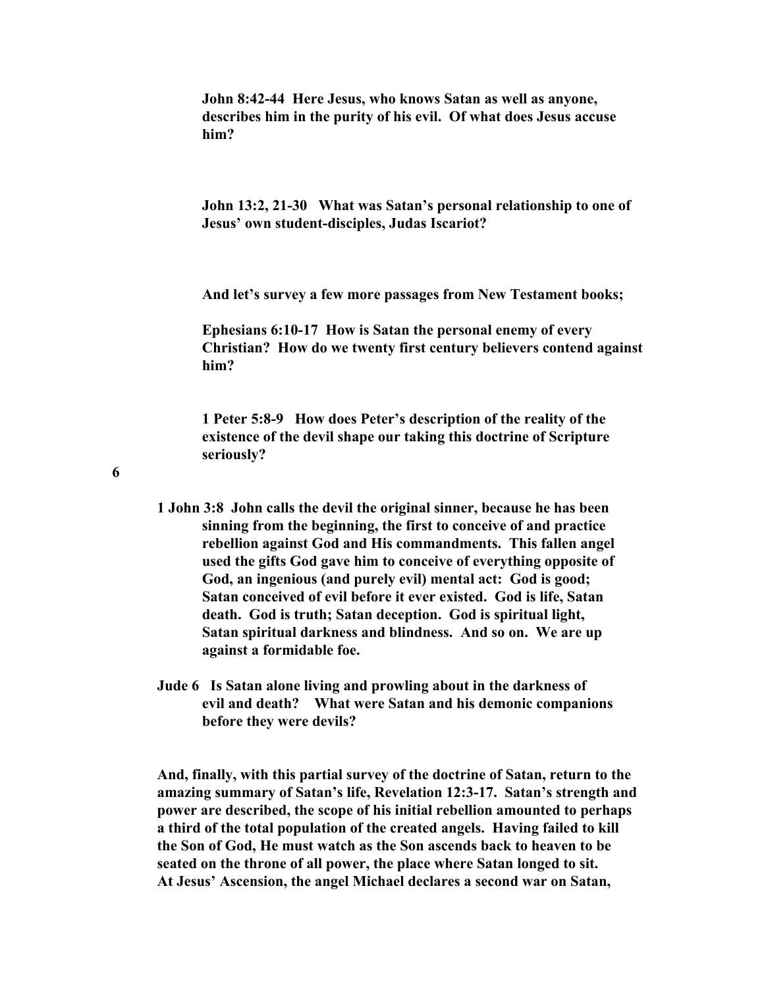**John 8:42-44 Here Jesus, who knows Satan as well as anyone, describes him in the purity of his evil. Of what does Jesus accuse him?**

**John 13:2, 21-30 What was Satan's personal relationship to one of Jesus' own student-disciples, Judas Iscariot?**

**And let's survey a few more passages from New Testament books;**

**Ephesians 6:10-17 How is Satan the personal enemy of every Christian? How do we twenty first century believers contend against him?**

**1 Peter 5:8-9 How does Peter's description of the reality of the existence of the devil shape our taking this doctrine of Scripture seriously?**

**6**

- **1 John 3:8 John calls the devil the original sinner, because he has been sinning from the beginning, the first to conceive of and practice rebellion against God and His commandments. This fallen angel used the gifts God gave him to conceive of everything opposite of God, an ingenious (and purely evil) mental act: God is good; Satan conceived of evil before it ever existed. God is life, Satan death. God is truth; Satan deception. God is spiritual light, Satan spiritual darkness and blindness. And so on. We are up against a formidable foe.**
- **Jude 6 Is Satan alone living and prowling about in the darkness of evil and death? What were Satan and his demonic companions before they were devils?**

**And, finally, with this partial survey of the doctrine of Satan, return to the amazing summary of Satan's life, Revelation 12:3-17. Satan's strength and power are described, the scope of his initial rebellion amounted to perhaps a third of the total population of the created angels. Having failed to kill the Son of God, He must watch as the Son ascends back to heaven to be seated on the throne of all power, the place where Satan longed to sit. At Jesus' Ascension, the angel Michael declares a second war on Satan,**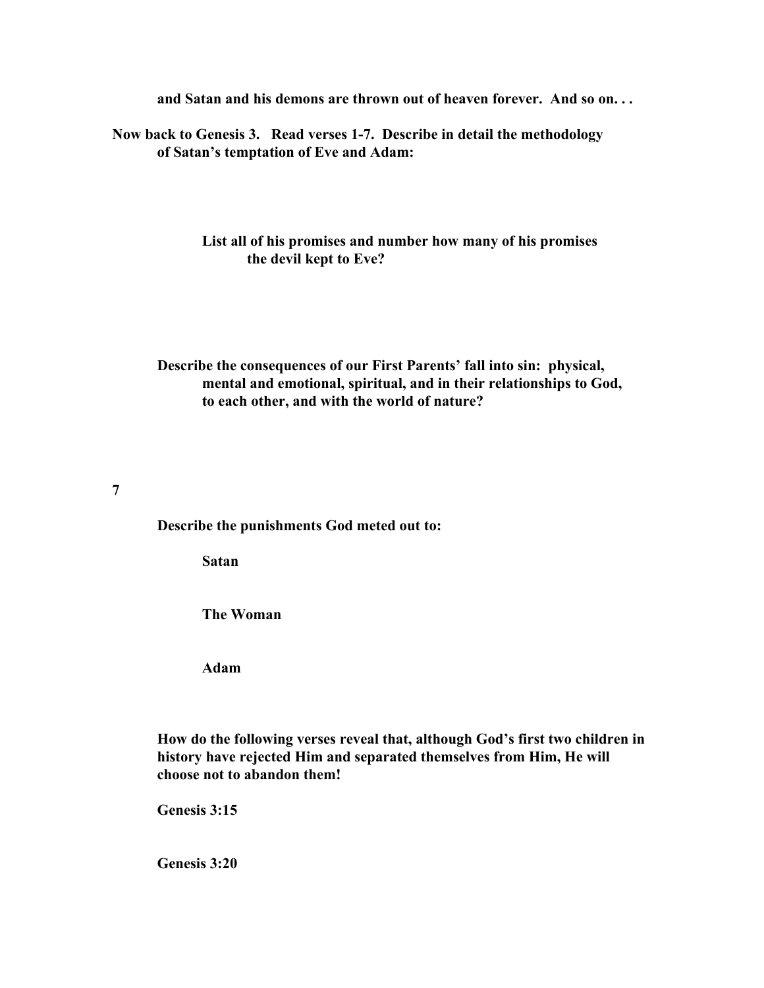**and Satan and his demons are thrown out of heaven forever. And so on. . .**

**Now back to Genesis 3. Read verses 1-7. Describe in detail the methodology of Satan's temptation of Eve and Adam:**

> **List all of his promises and number how many of his promises the devil kept to Eve?**

**Describe the consequences of our First Parents' fall into sin: physical, mental and emotional, spiritual, and in their relationships to God, to each other, and with the world of nature?**

**7**

**Describe the punishments God meted out to:**

**Satan**

**The Woman**

**Adam**

**How do the following verses reveal that, although God's first two children in history have rejected Him and separated themselves from Him, He will choose not to abandon them!**

**Genesis 3:15**

**Genesis 3:20**